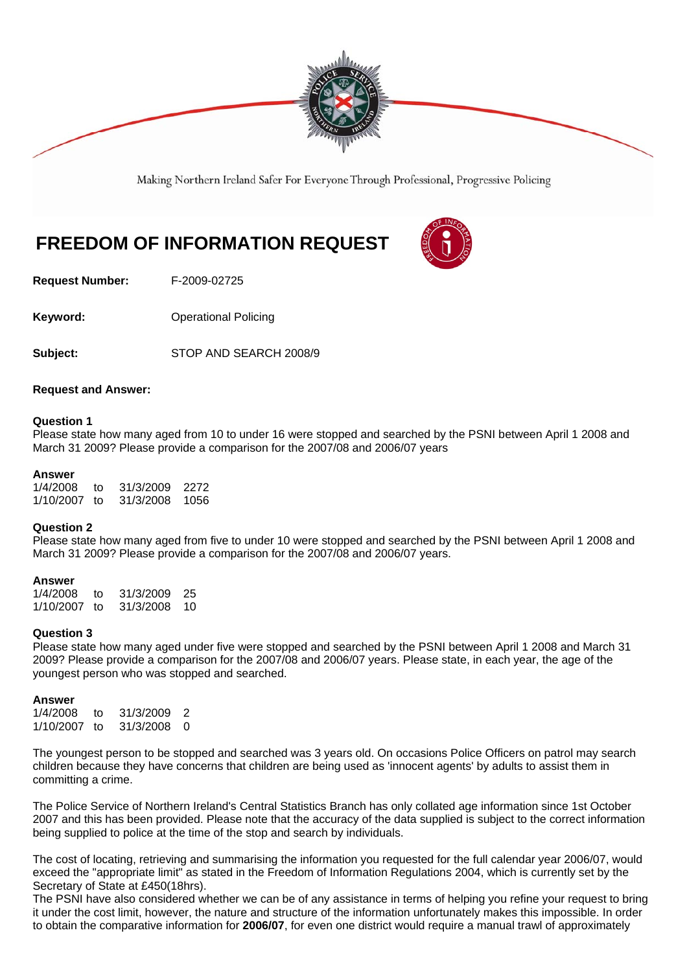

Making Northern Ireland Safer For Everyone Through Professional, Progressive Policing

# **FREEDOM OF INFORMATION REQUEST**

**Request Number:** F-2009-02725

**Keyword: Conservery Operational Policing** 

**Subject:** STOP AND SEARCH 2008/9

## **Request and Answer:**

## **Question 1**

Please state how many aged from 10 to under 16 were stopped and searched by the PSNI between April 1 2008 and March 31 2009? Please provide a comparison for the 2007/08 and 2006/07 years

## **Answer**

| 1/4/2008  | tΩ   | 31/3/2009 | 2272 |
|-----------|------|-----------|------|
| 1/10/2007 | - 10 | 31/3/2008 | 1056 |

## **Question 2**

Please state how many aged from five to under 10 were stopped and searched by the PSNI between April 1 2008 and March 31 2009? Please provide a comparison for the 2007/08 and 2006/07 years.

## **Answer**

1/4/2008 to 31/3/2009 25 31/3/2008 10

## **Question 3**

Please state how many aged under five were stopped and searched by the PSNI between April 1 2008 and March 31 2009? Please provide a comparison for the 2007/08 and 2006/07 years. Please state, in each year, the age of the youngest person who was stopped and searched.

## **Answer**

| 1/4/2008  | t∩   | 31/3/2009 | $\mathcal{P}$ |
|-----------|------|-----------|---------------|
| 1/10/2007 | - 10 | 31/3/2008 | - 0           |

The youngest person to be stopped and searched was 3 years old. On occasions Police Officers on patrol may search children because they have concerns that children are being used as 'innocent agents' by adults to assist them in committing a crime.

The Police Service of Northern Ireland's Central Statistics Branch has only collated age information since 1st October 2007 and this has been provided. Please note that the accuracy of the data supplied is subject to the correct information being supplied to police at the time of the stop and search by individuals.

The cost of locating, retrieving and summarising the information you requested for the full calendar year 2006/07, would exceed the "appropriate limit" as stated in the Freedom of Information Regulations 2004, which is currently set by the Secretary of State at £450(18hrs).

The PSNI have also considered whether we can be of any assistance in terms of helping you refine your request to bring it under the cost limit, however, the nature and structure of the information unfortunately makes this impossible. In order to obtain the comparative information for **2006/07**, for even one district would require a manual trawl of approximately